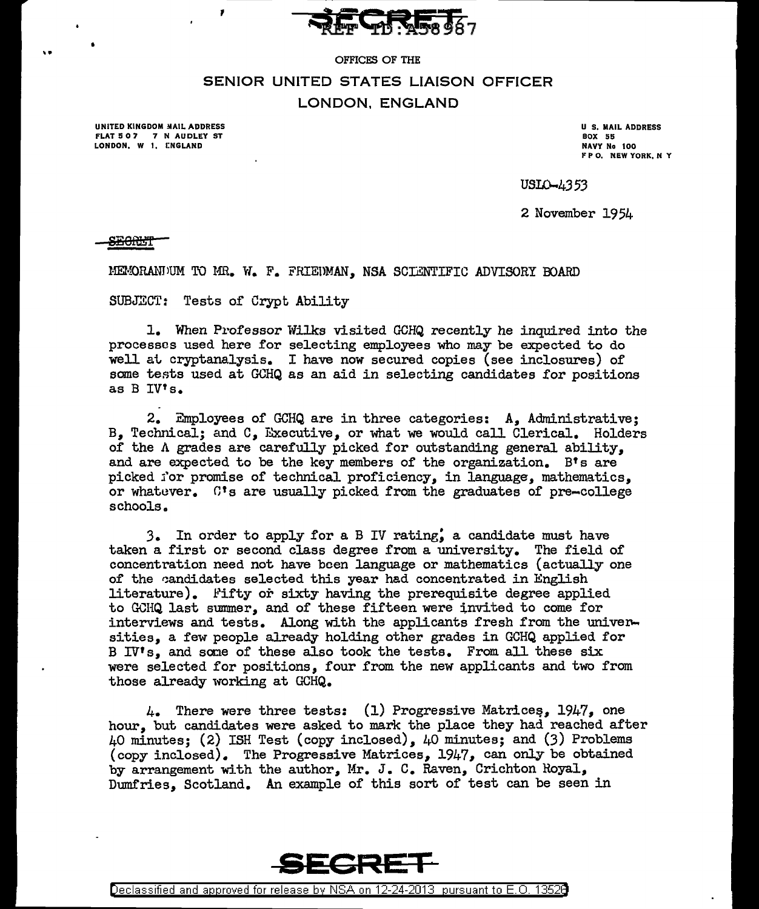

# OFFICES OF THE SENIOR UNITED STATES LIAISON OFFICER LONDON, ENGLAND

UNITED KINGDOM MAIL ADDRESS FLAT 507 7 N AUDLEY ST LONDON, W 1, ENGLAND

U S. MAIL ADDRESS BOX 55 NAVY No 100 F P O. NEW YORK, N Y

USLO-4353

2 November 1954

<del>SEORL'T</del>

MEMORANJUM TO MR. W. F. FRIEDMAN, NSA SCIENTIFIC ADVISORY BOARD

SUBJECT: Tests of Crypt Ability

1. When P1•ofessor Wilks visited GCHQ recently he inquired into the processes used here for selecting employees who may be expected to do well at cryptanalysis. I have now secured copies (see inclosures) of some tests used at GCHQ as an aid in selecting candidates for positions as B IV's.

2. Employees of GCHQ are in three categories: A, Administrative; B, Technical; and C, Executive, or what we would call Clerical. Holders of the *A* grades are carefully picked for outstanding general ability, and are expected to be the key members of the organization. B's are picked j'or promise of technical proficiency, in language, mathematics, or whatuver. C's are usually picked from the graduates of pre-college schools.

3. In order to apply for a B IV rating; a candidate must have taken a first or second class degree from a university. The field of concentration need not have boen language or mathematics (actually one of the candidates selected this year had concentrated in English literature). Pifty or sixty having the prerequisite degree applied to GCHQ last summer, and of these fifteen were invited to come for interviews and tests. Along with the applicants fresh from the universities, a few people already holding other grades in GCHQ applied for B IV<sup>\*</sup>s. and some of these also took the tests. From all these six were selected for positions, four from the new applicants and two from those already working at GCHQ.

 $\mu_{\bullet}$  There were three tests: (1) Progressive Matrices, 1947, one hour, but candidates were asked to mark the place they had reached after 40 minutes; (2) ISH Test (copy inclosed), 40 minutes; and (3) Problems (copy inclosed). The Progressive Matrices, 1947, can only be obtained by arrangement with the author, Mr. J. c. Raven, Crichton Royal, Dumfries, Scotland. An example of this sort of test can be seen in



Declassified and approved for release by NSA on 12-24-2013 pursuant to E. 0. 1352B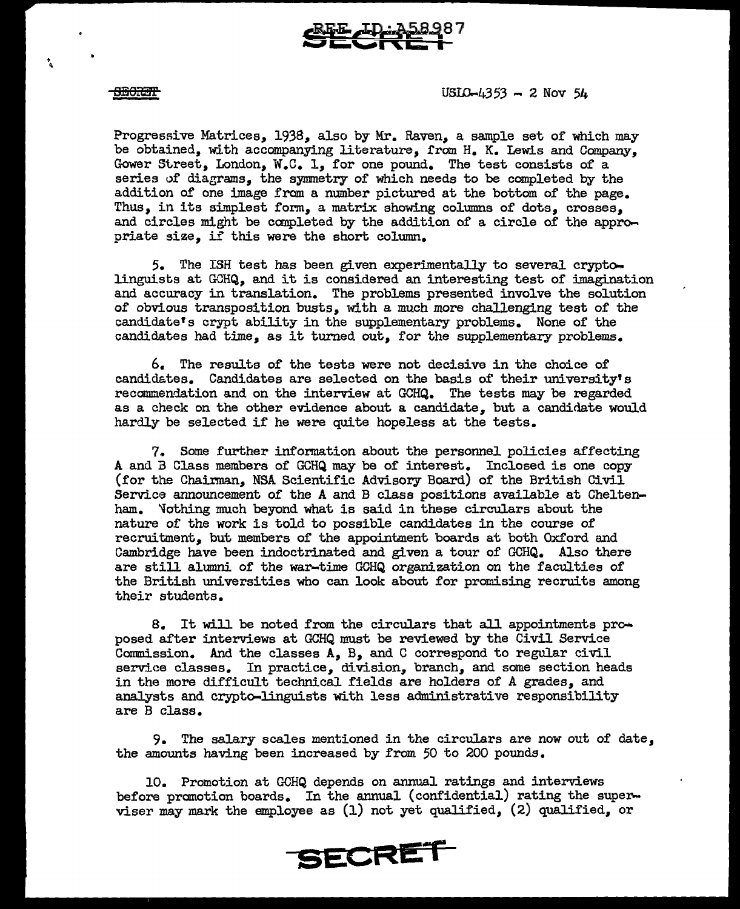

### **SECRIT**

•<br>ዓ ...

 $USLO-4353 - 2$  Nov  $54$ 

Progressive Matrices, 1938, also by Mr. Raven, a sample set of which may be obtained, with accompanying literature, from H. K. Lewis and Campany, Gower Street, London, W.C. 1, for one pound. The test consists of a series of diagrams, the symmetry of which needs to be completed by the addition of one image from a number pictured at the bottom of the page. Thus, in its simplest form, a matrix showing columns of dots, crosses, and circles might be completed by the addition of a circle of the appropriate size, if this were the short column.

5. The ISH test has been given experimentally to several cryptolinguists at GCHQ, and it is considered an interesting test of imagination and accuracy in translation. The problems presented involve the solution of obvious transposition busts, with a much more challenging test of the candidate's crypt ability in the supplementary problems. None of the candidates had time, as it turned out, for the supplementary problems.

6. The results of the tests were not decisive in the choice of candidates. Candidates are selected on the basis of their university's recommendation and on the interview at GCHQ. The tests may be regarded as a check on the other evidence about a candidate, but a candidate would hardly be selected if he were quite hopeless at the tests.

7. Some further information about the personnel policies affecting A and B Class members of GCHQ may be of interest. Inclosed is one copy (for the Chairman, NSA Scientific Advisory Board) of the British Civil Service announcement of the A and B class positions available at Cheltenham. "fothing much beyond what is said in these circulars about the nature of the work is told to possible candidates in the course of recruitment, but members of the appointment boards at both Oxford and Cambridge have been indoctrinated and given a tour of GCHQ. Also there are still alumni of the war-time GCHQ organization on the faculties of the British universities who can look about for promising recruits among their students.

8. It will be noted from the circulars that all appointments pro $\rightarrow$ posed after interviews at GCHQ must be reviewed by the Civil Service Commission. And the classes A, B, and C correspond to regular civil service classes. In practice, division, branch, and some section heads in the more difficult technical fields are holders of A grades, and analysts and crypto-linguists with less administrative responsibility are B class.

9. The salary scales mentioned in the circulars are now out of date, the amounts having been increased by from 50 to 200 pounds.

l.O. Promotion at C-CHQ depends on annual ratings and interviews before promotion boards. In the annual (confidential) rating the superviser may mark the employee as (1) not yet qualified, (2) qualified, or

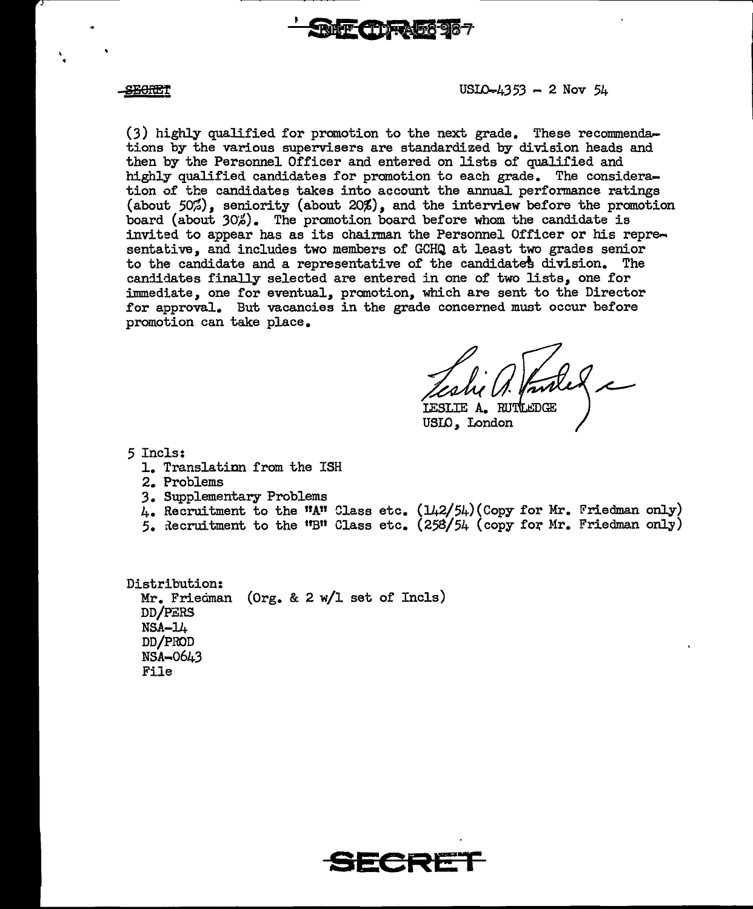

### <del>SECRE</del>T

### $USLO-4353 - 2$  Nov  $54$

 $(3)$  highly qualified for promotion to the next grade. These recommendations by the various supervisers are standardized by division heads and then by the Personnel Officer and entered on lists of qualified and highly qualified candidates for promotion to each grade. The consideration of the candidates takes into account the annual performance ratings (about 50%), seniority (about 20%), and the interview before the promotion board (about 30%). The promotion board before whom the candidate is invited to appear has as its chairman the Personnel Officer or his representative, and includes two members of GCHQ at least two grades senior to the candidate and a representative of the candidates division. The candidates finally selected are entered in one of two lists, one for immediate, one for eventual, promotion, which are sent to the Director for approval. But vacancies in the grade concerned must occur before promotion can take place.

Lesle U. Provie

LESLIE A. RU USID, London

5 Incls:

- 1. Translation from the ISH
- 2. Problems
- 3. Supplementary Problems
- 4. Recruitment to the "A" Class etc. (142/54)(Copy for Mr. Friedman only)
- 5. Recruitment to the "B" Class etc.  $(258/54$  (copy for Mr. Friedman only)

Distribution: Mr. Friedman (Org. & 2 w/l set of Incls) DD/PERS  $NSA-14$ DD/PROD  $NSA-0643$ File

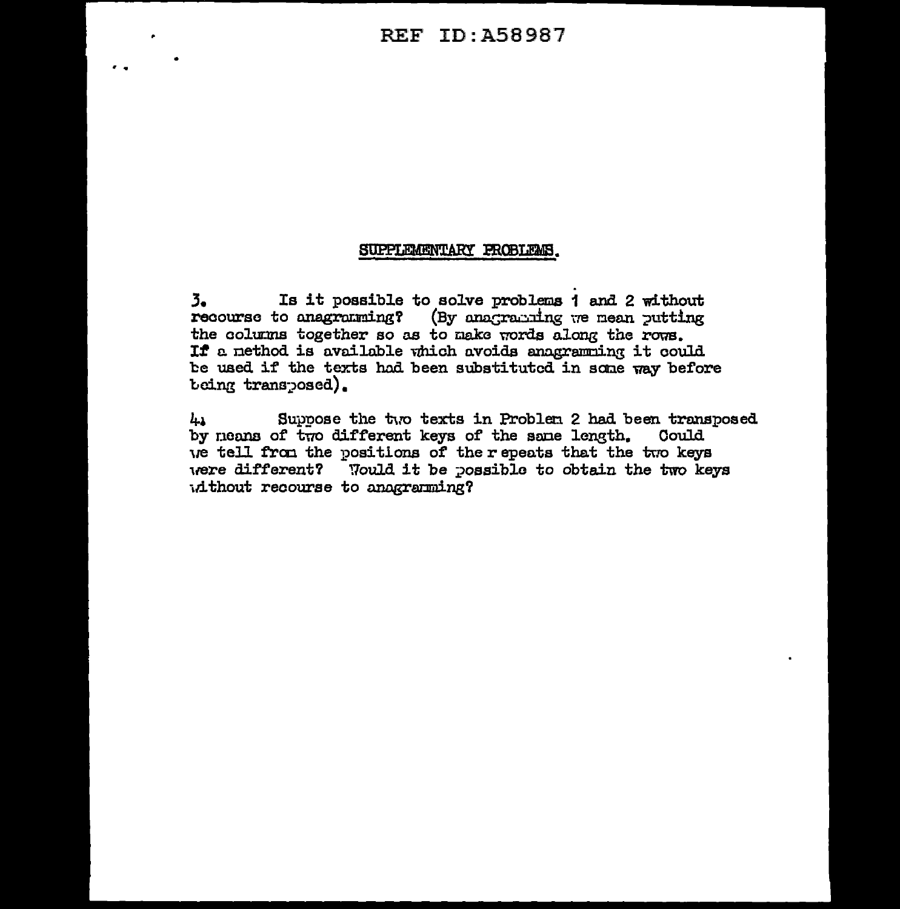## SUPPLEMENTARY PROBLEMS.

 $3.$ Is it possible to solve problems 1 and 2 without recourse to anagramming? (By anagramming we mean putting the columns together so as to make words along the rows. If a nethod is available which avoids anagramming it could be used if the texts had been substituted in some way before being transposed).

Suppose the two texts in Problem 2 had been transposed 41 by neans of two different keys of the same length. Could we tell from the positions of the repeats that the two keys were different? Would it be possible to obtain the two keys id thout recourse to anagraming?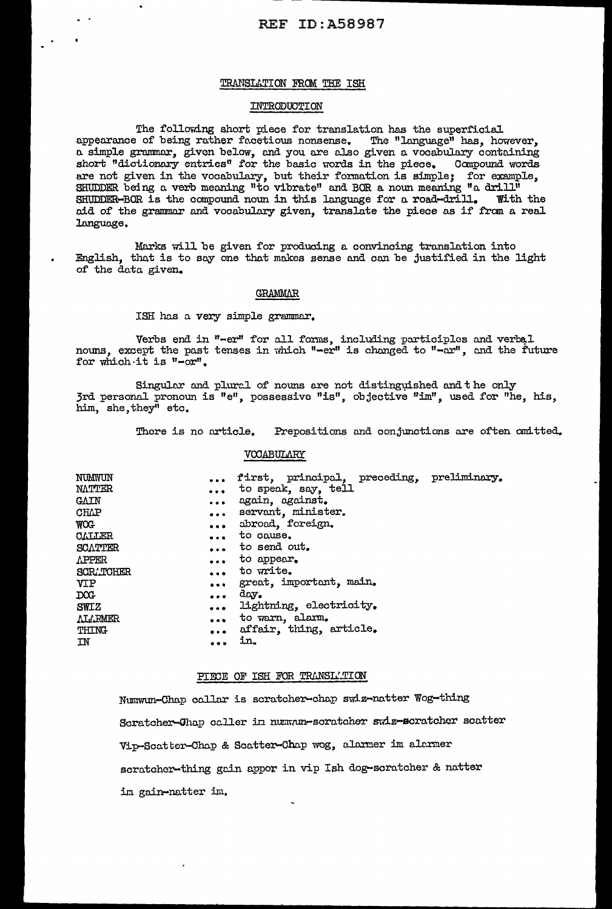## TRANSLATION FROM THE ISH

## INTRODUCTION

The following short piece for translation has the superficial appearance of being rather facetious nonsense. The "language" has, however, a simple grammar, given below, and you are also given a vocabulary containing short "dictionary entries" for the basic words in the piece. Compound words are not given in the vocabulary, but their formation is simple; for example,<br>SHUDDER being a verb meaning "to vibrate" and BOR a noun meaning "a drill"<br>SHUDDER-BOR is the compound noun in this language for a road-drill. Wi aid of the grammar and vocabulary given, translate the piece as if from a real language.

Marks will be given for producing a convincing translation into English, that is to say one that makes sense and can be justified in the light of the data given.

### GRAMMAR

ISH has a very simple grammar.

Verbs end in "-er" for all forms, including participles and verbal nouns, except the past tenses in which "-er" is changed to "-ar", and the future for which it is "-or".

Singular and plural of nouns are not distinguished and the only 3rd personal pronoun is "e", possessive "is", objective "im", used for "he, his, him, she, they" etc.

> There is no article. Prepositions and conjunctions are often omitted.

### VOCABULARY

| NUMWUN<br>NATTER<br>GAIN<br>CHIAP<br>WOG<br><b>CALLER</b><br>SCATTER<br><b>APPER</b><br><b>SCR. TOHER</b><br>VIP<br>DOG<br><b>SWIZ</b><br><b>ALLRMER</b> | $\bullet$ $\bullet$ $\bullet$<br>$\bullet$ $\bullet$ $\bullet$<br>$\bullet$ $\bullet$<br>$\cdots$ | first, principal, preceding, preliminary.<br>to speak, say, tell<br>again, against.<br>servant, minister.<br>abroad, foreign.<br>to cause.<br>to send out.<br>to appear.<br>to write.<br>great, important, main.<br>day.<br>lightning, electricity.<br>to warn, alarm.<br>affair, thing, article. |  |
|----------------------------------------------------------------------------------------------------------------------------------------------------------|---------------------------------------------------------------------------------------------------|---------------------------------------------------------------------------------------------------------------------------------------------------------------------------------------------------------------------------------------------------------------------------------------------------|--|
|                                                                                                                                                          |                                                                                                   |                                                                                                                                                                                                                                                                                                   |  |
| THING                                                                                                                                                    |                                                                                                   |                                                                                                                                                                                                                                                                                                   |  |
| IN                                                                                                                                                       | $\bullet\bullet\bullet$                                                                           | in.                                                                                                                                                                                                                                                                                               |  |

### PIECE OF ISH FOR TRANSLATION

Numwun-Chap callar is scratcher-chap swiz-natter Wog-thing Scratcher-Chap caller in numum-scratcher swiz-scratcher scatter Vip-Scatter-Chap & Scatter-Chap wog, alarmer im alarmer scratcher-thing gain appor in vip Ish dog-scratcher & natter im gain-natter im.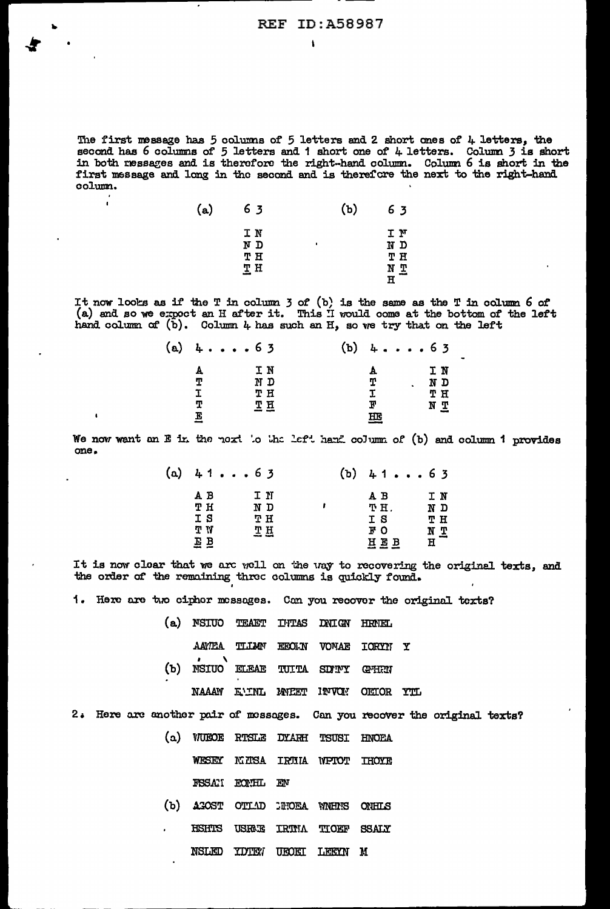The first message has 5 columns of 5 letters and 2 short ones of 4 letters, the second has 6 columns of 5 letters and 1 short one of 4 letters. Column 3 is short in both ressages and is therefore the right-hand column. Co first message and long in the second and is therefore the next to the right-hand colum.

| $\mathbf{(a)}$ | 63                    | (b) | 63                       |
|----------------|-----------------------|-----|--------------------------|
|                | IN<br>N D<br>TН<br>ТH | п   | ΙM<br>ND<br>TH<br>N<br>끄 |

 $\mathbf{I}$ 

It now looks as if the T in column 3 of (b) is the same as the T in column 6 of  $(a)$  and so we expoct an H after it. This I would come at the bottom of the left hand column of  $(b)$ . Column 4 has such an H, so we try that on the left

| (a) | 4. 63 |     | $(b)$ 463 |                  |
|-----|-------|-----|-----------|------------------|
|     | А     | IN  | А         | ΙN               |
|     | т     | ם א | т         | N D<br>$\bullet$ |
|     | I     | тн  | I         | TН               |
|     | т     | тн  | F         | ΝŢ               |
|     | E     | --  | HЕ        |                  |

We now want an E in the noxt to the left hand column of (b) and column 1 provides one.

|     | (a) $4163$ | (ъ) | 4163 |     |
|-----|------------|-----|------|-----|
| A B | IN         |     | A B  | IN  |
| тн  | N D        |     | TH.  | N D |
| I S | тн         |     | I S  | тн  |
| T W | 프프         |     | FО   | NΣ  |
| EВ  |            |     | HEB  | н   |

It is now cloar that we are well on the way to recovering the original texts, and the order of the remaining three columns is quickly found.

1. Here are two ciphor messages. Can you recover the original texts?

| (a) NSIUO TEAET INTAS DNIGN HRMEL |  |                                  |  |
|-----------------------------------|--|----------------------------------|--|
|                                   |  | AAWEA TILLAN EEOLN VOMAE IORYN Y |  |
| (b) NSIUO ELEAE TUITA SDINY GMHRN |  |                                  |  |
|                                   |  | NAAAW EUNL MWEET INVON OEIOR YTL |  |

2. Here are another pair of messages. Can you recover the original texts?

|  |                | (a) WUEOE RTSLE DYARH TSUSI HNOEA |  |
|--|----------------|-----------------------------------|--|
|  |                | WESEY KINSA IRTHA WPTOT THOYE     |  |
|  | FSSAN FONHL EN |                                   |  |

- (b) AGOST OTLAD **DITOEA** WNHN'S **ONHLS**
- HSHTS USRAIE **TRTMA TIOEF SSALY** 
	- NSLED **TDTEV** UEOET LEEYN M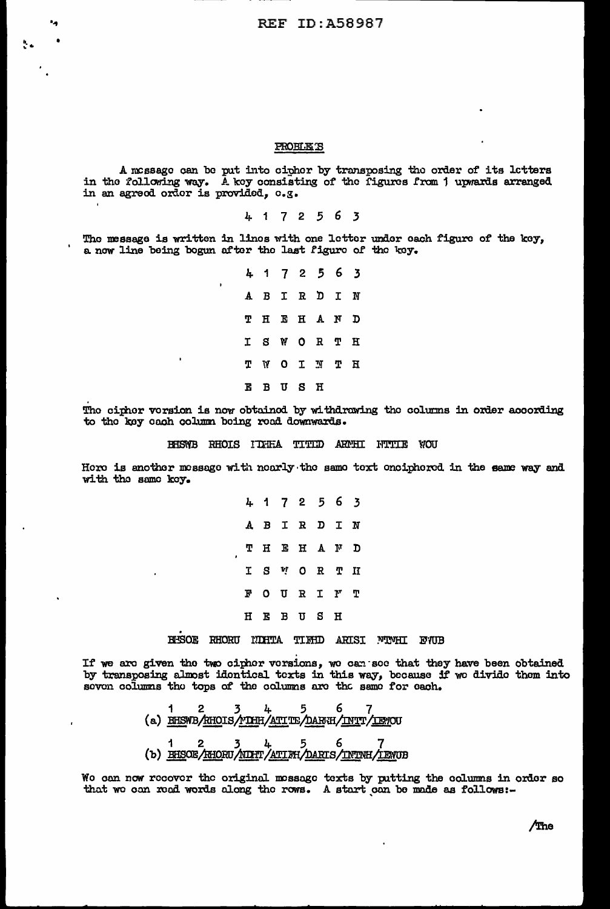### PROBLETS

A message can be put into cipher by transposing the order of its letters in the following way. A key consisting of the figures from 1 upwards arranged in an agreed order is provided, e.g.

4172563

The message is written in linos with one letter under each figure of the key, a now line being bogun after the last figure of the key.

> 4172563 A B I R D  $\mathbf{I}$ N H E H A  $\mathbf{N}$ T D  $\mathbf T$ S W  $\circ$ R т Н ጥ  $\mathbf{W}$  $\mathbf{o}$  $\mathbf I$ N T  $_{\rm H}$ BUSH Е

The cipher version is now obtained by withdrawing the columns in order according to the key each column being read downwards.

## BHSWB RHOIS IDHEA TITID ARMHI NTTIE WOU

Hore is another message with nearly the same text onciphered in the same way and with the same key.

> 4 1 7 2 5 6  $\overline{\mathbf{3}}$  $\mathbf{B}$ I R D  $\mathbf I$ Α  $\mathbf N$ Τ H E Η  $\boldsymbol{\Lambda}$ N D  $\mathbf{I}$ vļ  $\mathbf T$ S  $\Omega$ R.  $T$ F  $\mathbf{o}$ U R I  $\mathbf{r}$ т  $H$ H E B U **S**

HESOE RHORU NIHTA TIFHD ARISI NTMHI EVUB

If we are given the two cipher versions, we can see that they have been obtained by transposing almost identical texts in this way, because if we divide them into soven columns the tops of the columns are the same for each.

$$
\begin{array}{ll}\n & 1 & 2 & 3 & 4 & 5 & 6 & 7 \\
\text{(a) HFSWB/RIOIS/IMH/AITTE/AMH/INTT/ISHOU} & & \\
 & 1 & 2 & 4 & 5 & 6 \\
\text{(b) HISOE/AIORU/MIH/ATI/H/DARIS/INIM/LEMOB}\n\end{array}
$$

We can now recover the original message texts by putting the columns in order so that we can read words along the rows. A start can be made as follows:-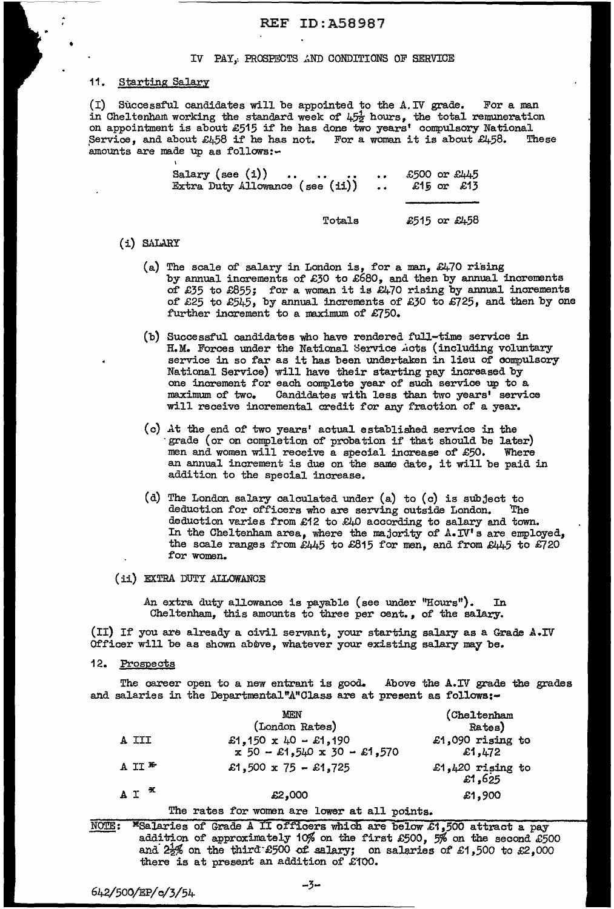### IV PAY, PROSPECTS AND CONDITIONS OF SERVICE

## 11. Starting Salary

..

•

(I) Successful candidates will be appointed to the  $A$ . IV grade. For a man in Cheltenham working the standard week of  $4.5\frac{1}{2}$  hours, the total remuneration on appointment is about £515 if he has done two years' compulsory National Service, and about  $\mathcal{L}_4$ 58 if he has not. For a woman it is about  $\mathcal{L}_4$ 58. These amounts are made up as follows:-

| Salary (see (i)) $\ldots$<br>Extra Duty Allowance (see (ii))  £15 or £13 | £500 or £445 |
|--------------------------------------------------------------------------|--------------|
|                                                                          |              |
| Totals                                                                   | £515 or £458 |

- ( i) SALARY
	- (a) The scale of salary in London is, for a man,  $\mathcal{L}470$  rising by annual increments of £30 to £680, and then by annual increments of £35 to £855; for a woman it is £470 rising by annual increments of £25 to £545, by annual increments of £30 to £725, and then by one further increment to a maximum of £750.
	- (b) Successful candidates who have rendered full-time service in H.M. Forces under the National Service .iots (including voluntary service in so far as it has been undertaken in lieu of oompulsory National Service) will have their starting pay increased by one increment for each complete year of such service up to a maximum of two. Candidates with less than two years' service will receive incremental credit for any fraction of a year.
	- (c) At the end of two years' actual established service in the grade (or on completion of probation if that should be later) men and women will receive a special increase of £50. Where an annual increment is due on the same date, it will be paid in addition to the special increase.
	- (d) The London salary calculated under (a) to (c) is subject to deduction for officers who are serving outside London. The deduction for officers who are serving outside London. deduction varies from £12 to £40 according to salary and town. In the Cheltenham area, where the majority of  $A.-IV'$  s are employed, the scale ranges from  $\mathcal{E}445$  to  $\mathcal{E}815$  for men, and from  $\mathcal{E}445$  to  $\mathcal{E}720$ for women.
- (ii) EXTRA DUTY ALLOWANCE

.An extra duty allowance is payable (see under "Hours"). In Cheltenham, this amounts to three per cent., of the salary.

(II) If you are already a civil servant, your starting salary as a Grade A.IV Officer will be as shown above, whatever your existing salary may be.

12. Prospects

The career open to a new entrant is good. Above the A.IV grade the grades and salaries in the Departmental"A"Class are at present as follows:-

|          | <b>MEN</b>                                            | (Cheltenham                |
|----------|-------------------------------------------------------|----------------------------|
|          | (London Rates)                                        | Rates)                     |
| A III    | £1,150 x 40 - £1,190<br>$x$ 50 - £1,540 x 30 - £1,570 | £1,090 rising to<br>£1,472 |
| A II $*$ | £1,500 x 75 - £1,725                                  | £1,420 rising to<br>£1,625 |
| $AT^*$   | £2,000                                                | £1,900                     |

### The rates for women are lower at all points.

NOTE: <sup>\*</sup>Salaries of Grade A II officers which are below £1,500 attract a pay addition of approximately 10% on the first £500, 5% on the second £500 and  $2\frac{1}{2}\%$  on the third: £500 of salary; on salaries of £1,500 to £2,000 there is at present an addition of £100.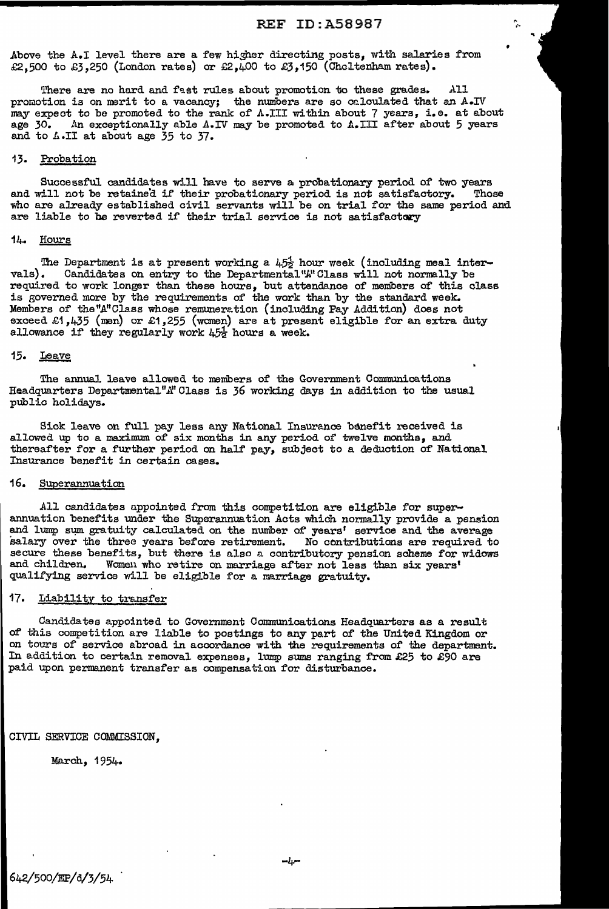•

 $\mathbb{R}^+$ ..

Above the A.I level there are a few higher directing posts, with salaries from £2,500 to £3,250 (London rates) or £2,400 to £3,150 (Cheltenham rates).

There are no hard and fast rules about promotion to these grades. All promotion is on merit to a vacancy; the numbers are so calculated that an  $A\cdot IV$ may expect to be promoted to the rank of  $\Lambda$ .III within about 7 years, i.e. at about age 30. An exceptionally able  $\Lambda$ .IV may be promoted to  $\Lambda$ .III after about 5 years An exceptionally able A.IV may be promoted to A.III after about 5 years and to *A*.II at about age 35 to 37.

### 13. Probation

Successful candidates will have to serve a probationary period of' two years and will not be retained if their probationary period is not satisfactory. Those who are already established civil servants will be on trial for the same period and are liable to be reverted if their trial service is not satisfactory

### 1~ Hours

The Department is at present working a  $4.5\frac{1}{2}$  hour week (including meal inter-vals). Candidates on entry to the Departmental" $k$ "Class will not normally be Candidates on entry to the Departmental "A" Class will not normally be required to work longer than these hours, but attendance of members of this class is governed more by the requirements of the work than by the standard week. Members of the "A" Class whose remuneration (including Pay Addition) does not exceed £1,435 (men) or £1,255 (women) are at present eligible for an extra duty allowance if they regularly work  $45\frac{1}{2}$  hours a week.

## 15. Leave

The annual leave allowed to members of the Government Communications Headquarters Departmental"A" Class is 36 working days in addition to the usual public holidays.

Sick leave on full pay less any National Insurance benefit received is allowed up to a maximum of six months in any period of twelve months, and thereafter for a further period on half pay, subject to a deduction of National Insurance benefit in certain cases.

## 16. Superannuation

All candidates appointed from this competition are eligible for superannuation benefits under the Superannuation Acts which normally provide a pension and lump sum gratuity calculated on the number of years' service and the average salary over the three years before retirement. No contributions are required to salary over the three years before retirement. secure these benefits, but there is also a contributory pension scheme for widows and children. Women who retire on marriage after not less than six vears' Women who retire on marriage after not less than six years' qualifying service will be eligible for a marriage gratuity.

### 17. Liability to transfer

Candidates appointed to Government Communications Headquarters as a result of' this competition are liable to postings to any part of' the United Kingdom or on tours of service abroad in accordance with the requirements of the department. In addition to certain removal expenses, lump sums ranging from £25 to  $\mathcal{E}$ 90 are paid upon permanent transfer as compensation for disturbance.

CIVIL SERVICE COMMISSION,

March, 1954.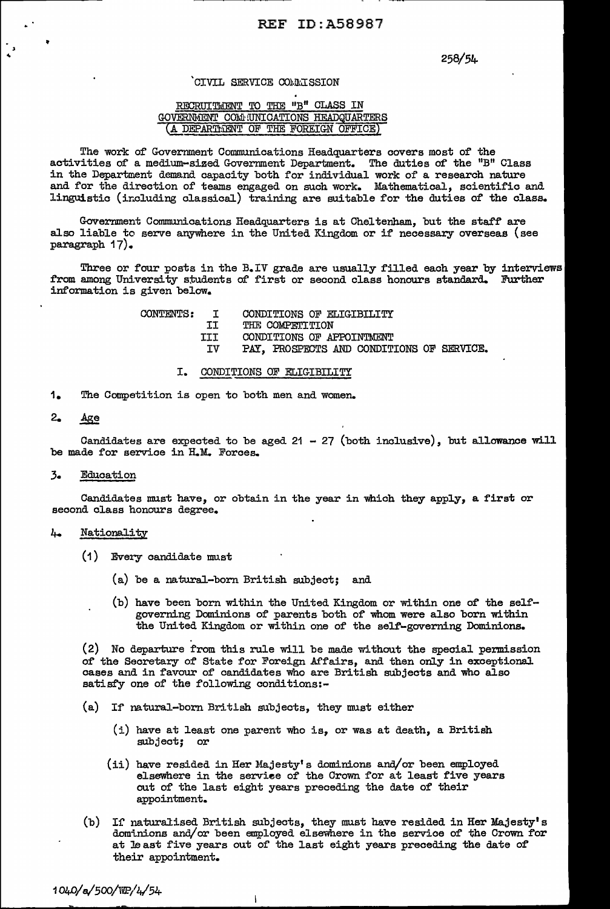## 258/54-

## `CIVIL SERVICE COAAISSION

## RECRUITMENT TO THE "B" CLASS IN GOVERNMENT COMMUNICATIONS HEADQUARTERS (A DEPARTMENT OF THE FOREIGN OFFICE)

The work of Government Communications Headquarters covers most of the activities of a medium-sized Government Department. The duties of the "B" Class in the Department demand capacity both for individual work of a research nature and for the direction of teams engaged on such work. Mathematical, scientific and linguistic (including classical) training are suitable for the duties of the class.

Government Communications Headquarters is at Cheltenham, but the staff are also liable to serve anywhere in the United Kingdom or if necessary overseas (see paragraph 17).

Three or four posts in the B.IV grade are usually filled each year by interviews from among University students of first or second class honours standard. Further information is given below.

| CONTENTS: | $\mathbf{T}$ | CONDITIONS OF ELIGIBILITY                 |
|-----------|--------------|-------------------------------------------|
|           | IJ           | THE COMPETITION                           |
|           | III.         | CONDITIONS OF APPOINTMENT                 |
|           | TV           | PAY, PROSPECTS AND CONDITIONS OF SERVICE. |

### I. CONDITIONS OF ELIGIBILITY

1. The Competition is open to both men and women.

## 2. Age

Candidates are expected to be aged  $21 - 27$  (both inclusive), but allowance will be made for service in H.M. Forces.

### 3. Education

Candidates must have, or obtain in the year in which they apply, a first or second class honours degree.

### 4- Nationality

- ( 1 ) Every candidate must
	- (a) be a natural-born British subject; and
	- (b) have been born within the United Kingdom or within one of the selfgoverning Dominions of parents both of whom were also born within the United Kingdom or within one of the self-governing Dominions.

(2) No departure from this rule will be made without the special permission of the Secretary of State for Foreign Affairs, and then only in exceptional cases and in favour of candidates who are British subjects and who also satisfy one of the following conditions:-

(a) If' natural-born British subjects, they must either

 $\mathbf{I}$ 

- $(i)$  have at least one parent who is, or was at death, a British subject; or
- $(i)$  have resided in Her Majesty's dominions and/or been employed elsewhere in the service of the Crown for at least five years out of the last eight years preceding the date of their appointment.
- (b) If naturalised British subjects, they must have resided in Her Majesty's dominions and/or been employed elsewhere in the service of the Crown for at least five years out of the last eight years preceding the date of their appointment.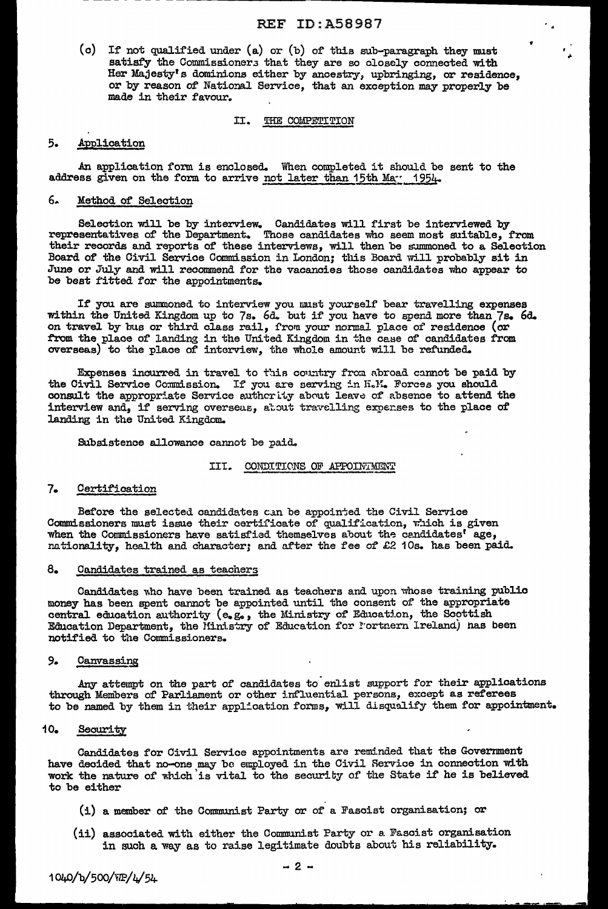(c) If not qualified under (a) or (b) of this sub-paragraph they must satisfy the Commissioners that they are so closely connected with Her Majesty's dominions either by ancestry, upbringing, or residence, or by reason of National Service, that an exception may properly be made in their favour.

#### THE COMPETITION II.

#### 5. Application

An application form is enclosed. When completed it should be sent to the address given on the form to arrive not later than 15th Mar 1954.

#### 6. Method of Selection

Selection will be by interview. Candidates will first be interviewed by<br>representatives of the Department. Those candidates who seem most suitable, from<br>their records and reports of these interviews, will then be summoned Board of the Civil Service Commission in London; this Board will probably sit in June or July and will recommend for the vacancies those candidates who appear to be best fitted for the appointments.

If you are summoned to interview you must yourself bear travelling expenses within the United Kingdom up to 7s. 6d. but if you have to spend more than 7s. 6d. on travel by bus or third class rail, from your normal place of from the place of landing in the United Kingdom in the case of candidates from overseas) to the place of interview, the whole amount will be refunded.

Expenses incurred in travel to this country from abroad cannot be paid by the Civil Service Commission. If you are serving in H.M. Forces you should consult the appropriate Service authority about leave of absence to attend the interview and, if serving overseas, atout travelling expenses to the place of landing in the United Kingdom.

Subsistence allowance cannot be paid.

## III. CONDITIONS OF APPOINTMENT

#### $7.$ Certification

Before the selected candidates can be appointed the Civil Service Commissioners must issue their certificate of qualification, which is given when the Commissioners have satisfied themselves about the candidates<sup>t</sup> age, nationality, health and character; and after the fee of £2 10s. has been paid.

#### $8.$ Candidates trained as teachers

Candidates who have been trained as teachers and upon whose training public money has been spent cannot be appointed until the consent of the appropriate central education authority (e.g., the Ministry of Education, the Scottish Education Department, the Ministry of Education for Fortnern Ireland) has been notified to the Commissioners.

#### 9. Canvassing

Any attempt on the part of candidates to enlist support for their applications through Members of Parliament or other influential persons, except as referees to be named by them in their application forms, will disqualify them for appointment.

#### $10-$ Security

Candidates for Civil Service appointments are reminded that the Government have decided that no-one may be employed in the Civil Service in connection with work the nature of which is vital to the security of the State if he is believed to be either

- (i) a member of the Communist Party or of a Fascist organisation; or
- (ii) associated with either the Communist Party or a Fascist organisation in such a way as to raise legitimate doubts about his reliability.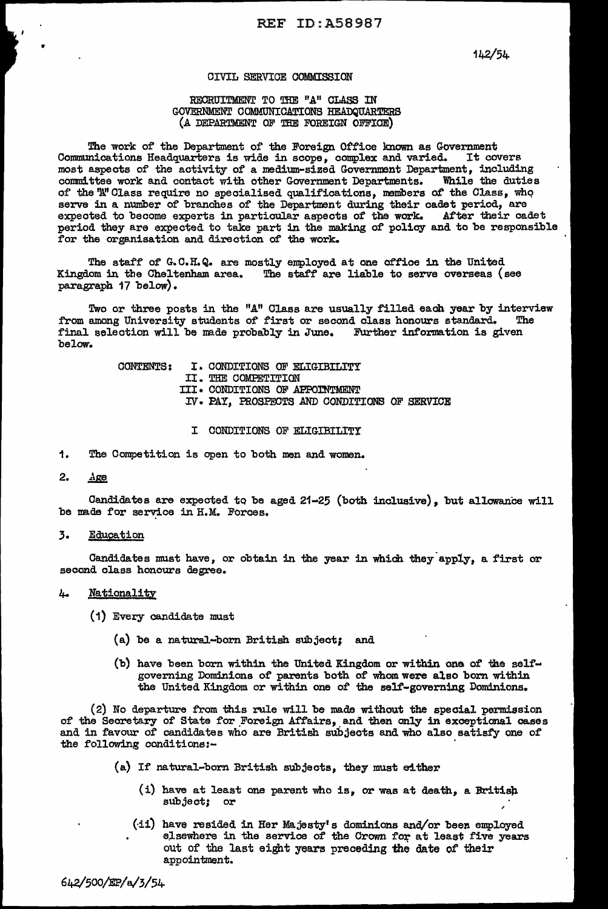142/54

## CIVIL SERVICE COMMISSION

## RECRUITMENT TO THE "A" CLASS IN GOVERNMENT COMMUNICATIONS HEADQUARTERS (A DEPARTMENT OF THE FOREIGN OFFICE)

The work of the Department of the Foreign Office known as Government Communications Headquarters is wide in scope, complex and varied. It covers most aspects of the activity of a medium-sized Government Department, including committee work and contact with other Government Departments. While the duties of the 'A' Class require no specialised qualifications, members of the Class, who serve in a number of branches of the Department during their cadet period, are expected to become experts in particular aspects of the work. After their cadet period they are expected to take part in the making of policy and to be responsible for the organisation and direction of the work.

The staff of G.C.H.Q. are mostly employed at one office in the United Kingdom in the Cheltenham area. The staff are liable to serve overseas (see paragraph 17 below).

Two or three posts in the "A" Class are usually filled each year by interview<br>among University students of first or second class honours standard. The from among University students of first or second class honours standard. final selection will be made probably in June. Further information is given below.

> CONTENTS: I. CONDITIONS OF ELIGIBILITY II. THE COMPETITION III · CONDITIONS OF APPOINTMENT IV · PAY, PROSPECTS AND CONDITIONS OF SERVICE

- I CONDITIONS OF ELIGIBILITY
- 1. The Competition is open to both men and women.

## $2.$   $Age$

..

Candidates are expected to be aged  $21-25$  (both inclusive), but allowance will be mads for service in H.M. Forces.

3. **Education** 

Candidates must have, or obtain in the year in which they apply, a first or second class honours degree.

## 4. Nationality

(1) Every candidate must

- (a) be a natural-born British subject; and
- (b) have been born within the United Kingdom or within one of the selfgoverning Dominions of parents both of whom were also born within the United Kingdom or within one of the self-governing Dominions.

 $(2)$  No departure from this rule will be made without the special permission of the Secretary of State for Foreign Affairs, and then only in exceptional cases and in favour of candidates who are British subjects and who a1so satisfy one of' the following oonditions:-

- {a) If natural-born British subjects, they must either
	- (i) have at least one parent who is, or was at death, a British subject; or
	- $(i)$  have resided in Her Majesty's dominions and/or been employed elsewhere in the service of the Crown for at least five years out of the last eight years preceding the date of their appointment.

642/500/EP/a./3/54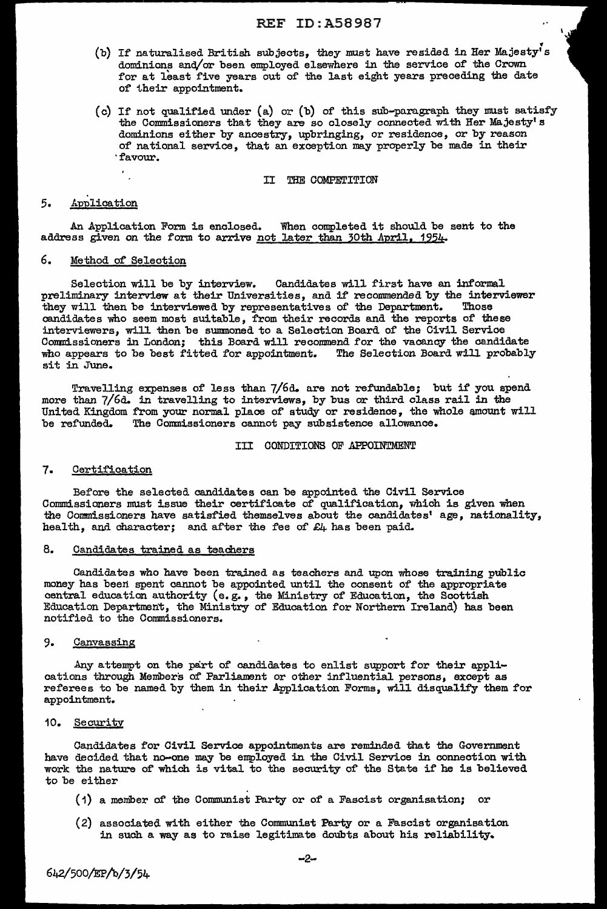- (b) If naturalised British subjects, they must have resided in Her Majesty's dominions and/or been employed elsewhere in the service of the Crown for at least five years out of the last eight years preceding the date of their appointment.
- (c) If not qualified under (a) or (b) of this sub-paragraph they must satisfy the Commissioners that they are so closely connected with Her Majesty's dominions either by ancestry, upbringing, or residence, or by reason of national service, that an exception may properly be made in their ·favour.

II THE COMPETITION

## 5. Application

An Application Form is enclosed. When completed it should be sent to the address given on the form to arrive not later than 30th April, 1954.

## 6. Method of Selection

 $\epsilon_{\rm L}$ 

Selection will be by interview. Candidates will first have an informal preliminary interview at their Universities, and if recommended by the interviewer<br>they will then be interviewed by representatives of the Department. Those they will then be interviewed by representatives of the Department. candidates who seem most suitable, from their records and the reports of' these interviewers, will then be summoned to a Selection Board of the Civil Service Commissioners in London; this Board will recommend for the vacancy the candidate who appears to be best fitted for appointment. The Selection Board will probably sit in June.

Travelling expenses of less than 7/6d. are not refundable; but if you spend more than 7/6d. in travelling to interviews, by bus or third class rail in the United Kingdom from your normal place of study or residence, the whole amount will be refunded. The Commissioners cannot pay subsistence allowance.

### III CONDITIONS OF APPOINTMENT

### 7. Certification

Before the selected candidates can be appointed the Civil Service Commissioners must issue their certificate of qualification, which is given when the Commissioners have satisfied. themselves about the candidates' age, nationality, health, and character; and after the fee of  $E_4$  has been paid.

## 8. Candidates trained as teachers

Candidates who have been trained. as teachers and upon whose training public money has been spent cannot be appointed until the consent of the appropriate central education authority (e.g., the Ministry of Education, the Scottish Education Departmen't, the Ministry of Education for Northern Ireland) has been notified to the Commissioners.

## 9. Canvassing

Any attempt on the part of candidates to enlist support for their applications through Members of Parliament or other influential persons, except as referees to be named by them in their Application Forms, will disqualify them for appointment.

## 10. Security:

Candidates for Civil Service appointments are reminded that the Government have decided that no-one may be enployed in the Civil Service in connection with work the nature of which is vital to the security of the State if he is believed to be either

- (1) a meniber of the Communist Party or o'f a Fascist organisation; or
- (2) associated with either the Connnunist Party or a Fascist organisation in such a way as to raise legitimate doubts about his reliability.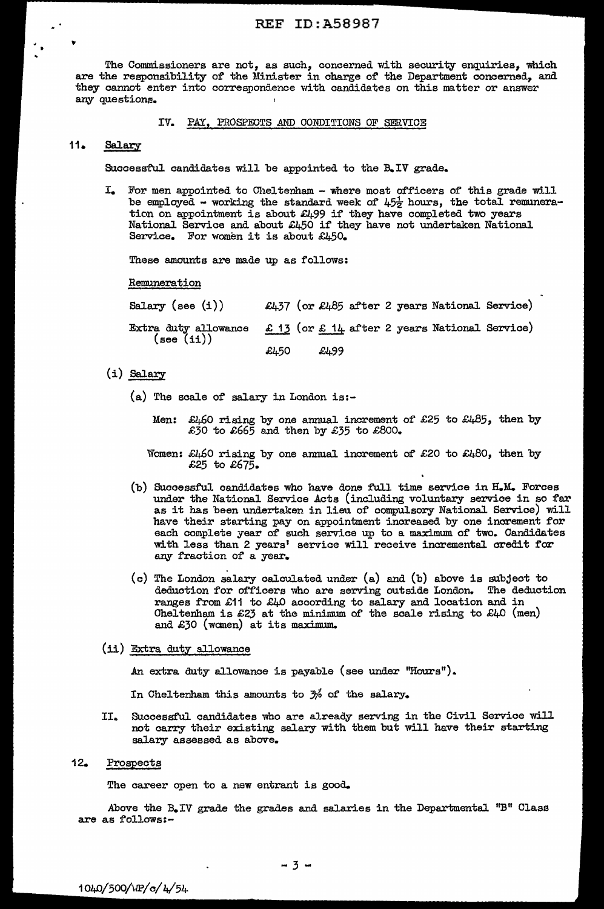The Commissioners are not, as such, concerned with security enquiries, which are the responsibility of the Minister in charge of the Department concerned, and they cannot enter into correspondence with candidates on this matter or answer any questions.

## IV. PAY, PROSPECTS AND CONDITIONS OF SERVICE

# 11. Salary

•

Successful candidates will be appointed to the B.IV grade.

I. For men appointed to Cheltenham - where most officers of this grade will be employed - working the standard week of  $4.5\frac{1}{2}$  hours, the total remuneration on appointment is about £499 if they have completed two years National Service and about £450 if they have not undertaken National Service. For women it is about £450.

These amounts are made up as follows:

Remuneration

| Salary (see $(i)$ )                                                                  |      |      |  | £437 (or £485 after 2 years National Service) |  |
|--------------------------------------------------------------------------------------|------|------|--|-----------------------------------------------|--|
| Extra duty allowance $E$ 13 (or $E$ 14 after 2 years National Service)<br>(see (ii)) |      |      |  |                                               |  |
|                                                                                      | £L50 | £L99 |  |                                               |  |

 $(i)$  Salary

(a) The scale of salary in London is:-

Men: £460 rising by one annual increment of £25 to £485, then by £30 to £665 and then by £35 to £800.

- Women: £460 rising by one annual increment of £20 to £480, then by £25 to £675.
- (b) Successful candidates who have done full time service in H.M. Forces under the National Service Acts (including voluntary service in so far as it has been undertaken in lieu of compulsory National Service) will have their starting pay on appointment increased by one increment for each complete year of such service up to a maximum of two. Candidates with less than 2 years' service will receive incremental credit for any fraction of a year.
- $(c)$  The London salary calculated under  $(a)$  and  $(b)$  above is subject to deduction for officers who are serving outside London. The deduction ranges from £11 to £40 according to salary and location and in Cheltenham is  $£23$  at the minimum of the scale rising to  $£40$  (men) and  $£30$  (women) at its maximum.
- (ii) Extra duty allowance

.An extra duty allowance is payable (see under "Hours") ..

In Cheltenham this amounts to  $\frac{1}{2}$  of the salary.

II.. Successful candidates who are already serving in the Civil Service will not carry their existing salary with them but will have their starting salary assessed as above.

# 12. Prospects

The career open to a new entrant is good.

Above the B.IV grade the grades and salaries in the Departmental "B" Class are as follows:-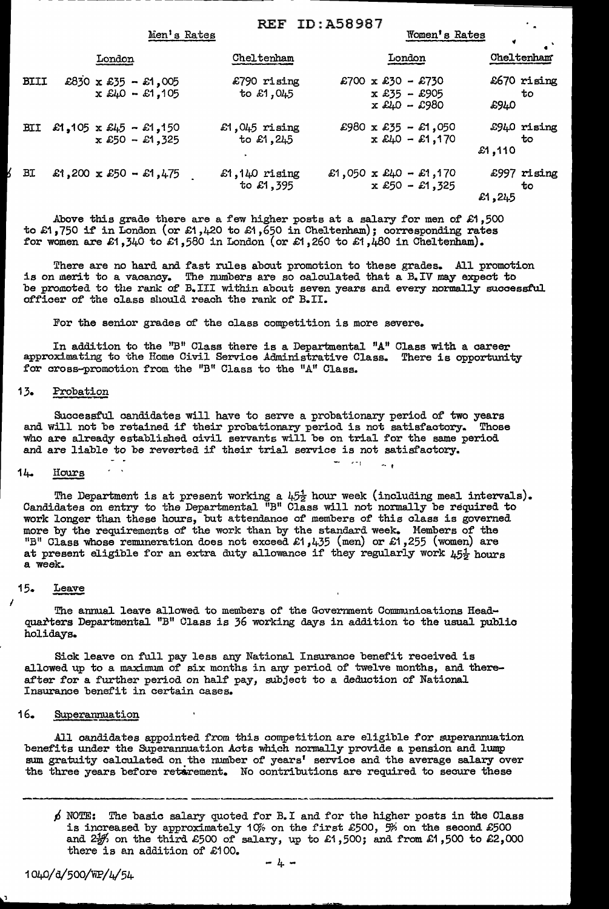|             | Men's Rates                               |                                  | <b>REF ID: A58987</b><br>Women's Rates                                             |                             |
|-------------|-------------------------------------------|----------------------------------|------------------------------------------------------------------------------------|-----------------------------|
|             | London                                    | Cheltenham                       | London                                                                             | Cheltenham                  |
| <b>BIII</b> | £830 x £35 - £1,005<br>$x £40 - £1,105$   | £790 rising<br>to £1,045         | £700 x £30 - £730<br>$x$ £35 - £905<br>$x \, \text{\pounds}40 - \text{\pounds}980$ | £670 rising<br>to<br>£940   |
| <b>BII</b>  | £1,105 x £45 - £1,150<br>$x £50 - £1,325$ | £1,045 $r$ ising<br>to $£1, 245$ | £980 x £35 - £1,050<br>$x$ £40 - £1,170                                            | £940 rising<br>to<br>£1,110 |
| <b>BI</b>   | £1,200 x £50 - £1,475                     | $£1,140$ rising<br>to £1,395     | £1,050 x £40 - £1,170<br>$x £50 - £1,325$                                          | £997 rising<br>ŤО<br>£1,245 |

Above this grade there are a few higher posts at a salary for men of  $\pounds1$ ,500 to £1,750 if in London (or £1,420 to £1,650 in Cheltenham); corresponding rates for women are £1,340 to £1,580 in London (or £1,260 to £1,480 in Cheltenham).

There are no hard and fast rules about promotion to these grades. All promotion is on merit to a vacancy. The numbers are so calculated that a  $B$ . IV may expect to be promoted to the rank of B.III within about seven years and every normally successful officer of the class should reach the rank of B.II.

For the senior grades of the class competition is more severe.

In addition to the "B" Class there is a Departmental "A" Class with a career approximating to the Home Civil Service Administrative Class. There is opportunity for cross-promotion from the "B" Class to the "A" Class.

## 13. Probation

Successful. candidates will have to serve a probationary period of two years and. will not be retained if their probationary period is not satisfactory. Those who are already established civil servants will be on trial for the same period and are liable to be reverted if their trial service is not satisfactory.

### 14- Hours

 $\mathbf{r}$ 

The Department is at present working a  $45\frac{1}{2}$  hour week (including meal intervals). Candidates on entry to the Departmental "B" Class will not normally be required to work longer than these hours, but attendance of inembers of this class is governed more by the requirements of the work than by the standard week. Members of the "B" Class whose remuneration does not exceed £1,435 (men) or £1,255 (women) are at present eligible for an extra duty allowance if they regularly work  $\mu_5\frac{1}{2}$  hours a week.

 $\sim$   $\sqrt{ }$ 

Medicine and

## 15. Leave

I

The annual leave allowed to members of the Government Communications Headquarters Departmental "B" Class is 36 working days in addition to the usual public holidays.

Sick leave on full pay less any National Insurance benefit received is allowed up to a maximum of six months in any period of twelve months, and thereafter for a further period on half pay, subject to a deduction of National Insurance benefit in certain cases.

#### 16. Superannuation

All candidates appointed from this competition are eligible for superannuation benefits under the Superannuation Acts which normally provide a pension and lump sum gratuity calculated on the number of years' service and the average salary over the three years before ret&rement. No contributions are required to secure these

----------  $\rho$  NOTE: The basic salary quoted for B.I and for the higher posts in the Class is increased by approximately 10% on the first £500,  $\frac{m}{2}$  on the second £500 and  $2\frac{1}{2}$  on the third £500 of salary, up to £1,500; and from £1,500 to £2,000 there is an addition of £100.